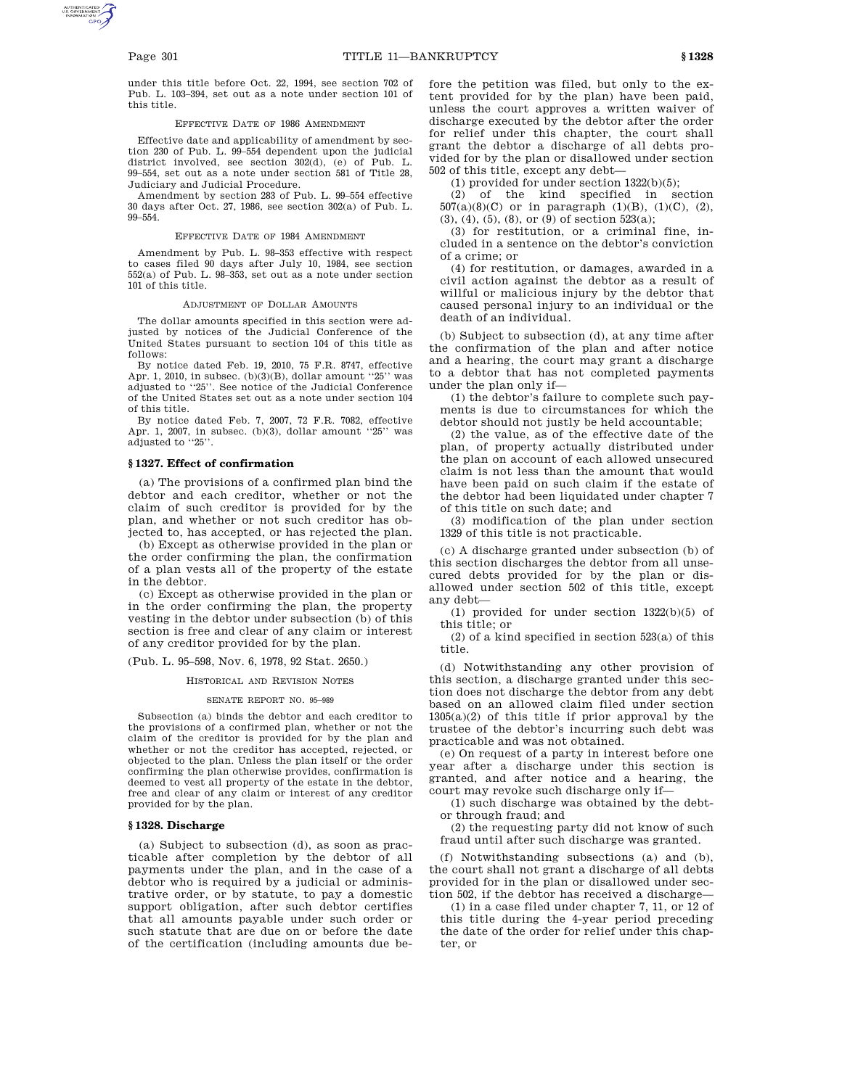under this title before Oct. 22, 1994, see section 702 of Pub. L. 103–394, set out as a note under section 101 of this title.

## EFFECTIVE DATE OF 1986 AMENDMENT

Effective date and applicability of amendment by section 230 of Pub. L. 99–554 dependent upon the judicial district involved, see section 302(d), (e) of Pub. L. 99–554, set out as a note under section 581 of Title 28, Judiciary and Judicial Procedure.

Amendment by section 283 of Pub. L. 99–554 effective 30 days after Oct. 27, 1986, see section 302(a) of Pub. L. 99–554.

### EFFECTIVE DATE OF 1984 AMENDMENT

Amendment by Pub. L. 98–353 effective with respect to cases filed 90 days after July 10, 1984, see section 552(a) of Pub. L. 98–353, set out as a note under section 101 of this title.

## ADJUSTMENT OF DOLLAR AMOUNTS

The dollar amounts specified in this section were adjusted by notices of the Judicial Conference of the United States pursuant to section 104 of this title as follows:

By notice dated Feb. 19, 2010, 75 F.R. 8747, effective Apr. 1, 2010, in subsec. (b)(3)(B), dollar amount ''25'' was adjusted to ''25''. See notice of the Judicial Conference of the United States set out as a note under section 104 of this title.

By notice dated Feb. 7, 2007, 72 F.R. 7082, effective Apr. 1, 2007, in subsec. (b)(3), dollar amount "25" was adjusted to ''25''.

# **§ 1327. Effect of confirmation**

(a) The provisions of a confirmed plan bind the debtor and each creditor, whether or not the claim of such creditor is provided for by the plan, and whether or not such creditor has objected to, has accepted, or has rejected the plan.

(b) Except as otherwise provided in the plan or the order confirming the plan, the confirmation of a plan vests all of the property of the estate in the debtor.

(c) Except as otherwise provided in the plan or in the order confirming the plan, the property vesting in the debtor under subsection (b) of this section is free and clear of any claim or interest of any creditor provided for by the plan.

(Pub. L. 95–598, Nov. 6, 1978, 92 Stat. 2650.)

HISTORICAL AND REVISION NOTES

# SENATE REPORT NO. 95–989

Subsection (a) binds the debtor and each creditor to the provisions of a confirmed plan, whether or not the claim of the creditor is provided for by the plan and whether or not the creditor has accepted, rejected, or objected to the plan. Unless the plan itself or the order confirming the plan otherwise provides, confirmation is deemed to vest all property of the estate in the debtor, free and clear of any claim or interest of any creditor provided for by the plan.

# **§ 1328. Discharge**

(a) Subject to subsection (d), as soon as practicable after completion by the debtor of all payments under the plan, and in the case of a debtor who is required by a judicial or administrative order, or by statute, to pay a domestic support obligation, after such debtor certifies that all amounts payable under such order or such statute that are due on or before the date of the certification (including amounts due before the petition was filed, but only to the extent provided for by the plan) have been paid, unless the court approves a written waiver of discharge executed by the debtor after the order for relief under this chapter, the court shall grant the debtor a discharge of all debts provided for by the plan or disallowed under section 502 of this title, except any debt—

(1) provided for under section 1322(b)(5);

(2) of the kind specified in section  $507(a)(8)(C)$  or in paragraph (1)(B), (1)(C), (2), (3), (4), (5), (8), or (9) of section 523(a);

(3) for restitution, or a criminal fine, included in a sentence on the debtor's conviction of a crime; or

(4) for restitution, or damages, awarded in a civil action against the debtor as a result of willful or malicious injury by the debtor that caused personal injury to an individual or the death of an individual.

(b) Subject to subsection (d), at any time after the confirmation of the plan and after notice and a hearing, the court may grant a discharge to a debtor that has not completed payments under the plan only if—

(1) the debtor's failure to complete such payments is due to circumstances for which the debtor should not justly be held accountable;

(2) the value, as of the effective date of the plan, of property actually distributed under the plan on account of each allowed unsecured claim is not less than the amount that would have been paid on such claim if the estate of the debtor had been liquidated under chapter 7 of this title on such date; and

(3) modification of the plan under section 1329 of this title is not practicable.

(c) A discharge granted under subsection (b) of this section discharges the debtor from all unsecured debts provided for by the plan or disallowed under section 502 of this title, except any debt—

(1) provided for under section 1322(b)(5) of this title; or

(2) of a kind specified in section 523(a) of this title.

(d) Notwithstanding any other provision of this section, a discharge granted under this section does not discharge the debtor from any debt based on an allowed claim filed under section 1305(a)(2) of this title if prior approval by the trustee of the debtor's incurring such debt was practicable and was not obtained.

(e) On request of a party in interest before one year after a discharge under this section is granted, and after notice and a hearing, the court may revoke such discharge only if—

(1) such discharge was obtained by the debtor through fraud; and

(2) the requesting party did not know of such fraud until after such discharge was granted.

(f) Notwithstanding subsections (a) and (b), the court shall not grant a discharge of all debts provided for in the plan or disallowed under section 502, if the debtor has received a discharge—

(1) in a case filed under chapter 7, 11, or 12 of this title during the 4-year period preceding the date of the order for relief under this chapter, or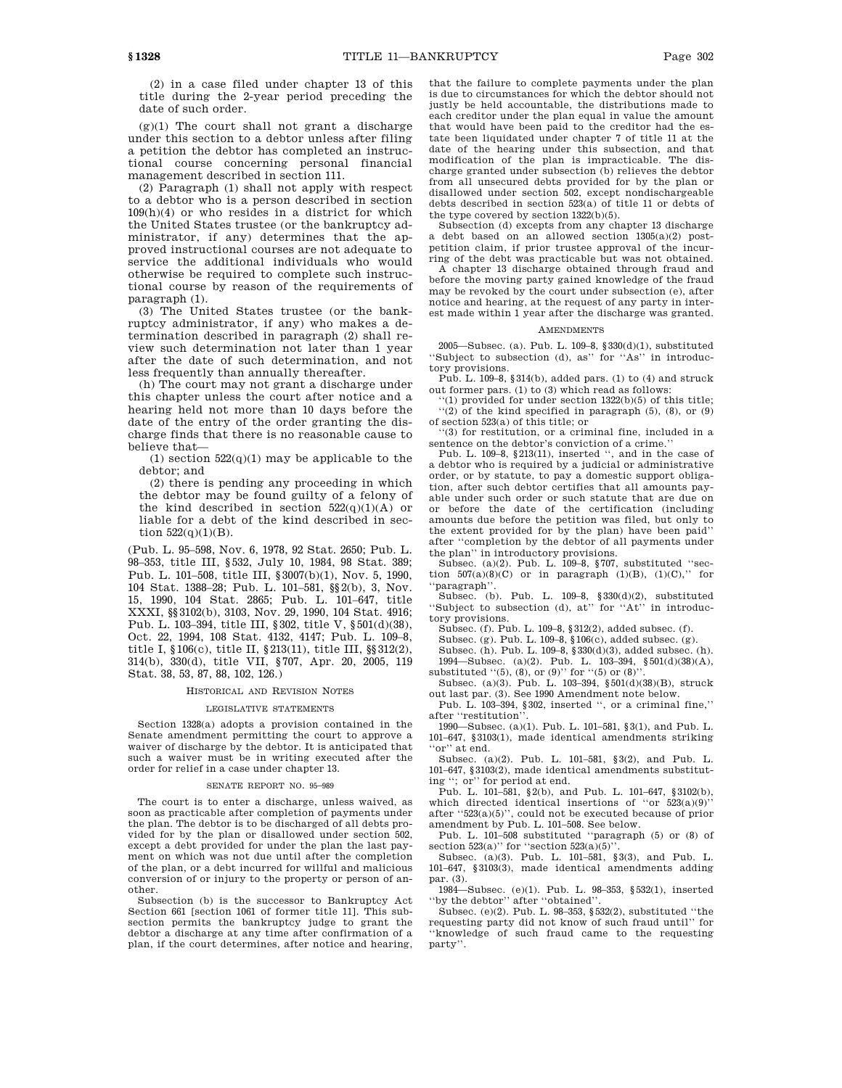(2) in a case filed under chapter 13 of this title during the 2-year period preceding the date of such order.

 $(g)(1)$  The court shall not grant a discharge under this section to a debtor unless after filing a petition the debtor has completed an instructional course concerning personal financial management described in section 111.

(2) Paragraph (1) shall not apply with respect to a debtor who is a person described in section 109(h)(4) or who resides in a district for which the United States trustee (or the bankruptcy administrator, if any) determines that the approved instructional courses are not adequate to service the additional individuals who would otherwise be required to complete such instructional course by reason of the requirements of paragraph (1).

(3) The United States trustee (or the bankruptcy administrator, if any) who makes a determination described in paragraph (2) shall review such determination not later than 1 year after the date of such determination, and not less frequently than annually thereafter.

(h) The court may not grant a discharge under this chapter unless the court after notice and a hearing held not more than 10 days before the date of the entry of the order granting the discharge finds that there is no reasonable cause to believe that—

(1) section  $522(q)(1)$  may be applicable to the debtor; and

(2) there is pending any proceeding in which the debtor may be found guilty of a felony of the kind described in section  $522(q)(1)(A)$  or liable for a debt of the kind described in section  $522(q)(1)(B)$ .

(Pub. L. 95–598, Nov. 6, 1978, 92 Stat. 2650; Pub. L. 98–353, title III, §532, July 10, 1984, 98 Stat. 389; Pub. L. 101–508, title III, §3007(b)(1), Nov. 5, 1990, 104 Stat. 1388–28; Pub. L. 101–581, §§2(b), 3, Nov. 15, 1990, 104 Stat. 2865; Pub. L. 101–647, title XXXI, §§3102(b), 3103, Nov. 29, 1990, 104 Stat. 4916; Pub. L. 103–394, title III, §302, title V, §501(d)(38), Oct. 22, 1994, 108 Stat. 4132, 4147; Pub. L. 109–8, title I, §106(c), title II, §213(11), title III, §§312(2), 314(b), 330(d), title VII, §707, Apr. 20, 2005, 119 Stat. 38, 53, 87, 88, 102, 126.)

#### HISTORICAL AND REVISION NOTES

## LEGISLATIVE STATEMENTS

Section 1328(a) adopts a provision contained in the Senate amendment permitting the court to approve a waiver of discharge by the debtor. It is anticipated that such a waiver must be in writing executed after the order for relief in a case under chapter 13.

# SENATE REPORT NO. 95–989

The court is to enter a discharge, unless waived, as soon as practicable after completion of payments under the plan. The debtor is to be discharged of all debts provided for by the plan or disallowed under section 502, except a debt provided for under the plan the last payment on which was not due until after the completion of the plan, or a debt incurred for willful and malicious conversion of or injury to the property or person of another.

Subsection (b) is the successor to Bankruptcy Act Section 661 [section 1061 of former title 11]. This subsection permits the bankruptcy judge to grant the debtor a discharge at any time after confirmation of a plan, if the court determines, after notice and hearing, that the failure to complete payments under the plan is due to circumstances for which the debtor should not justly be held accountable, the distributions made to each creditor under the plan equal in value the amount that would have been paid to the creditor had the estate been liquidated under chapter 7 of title 11 at the date of the hearing under this subsection, and that modification of the plan is impracticable. The discharge granted under subsection (b) relieves the debtor from all unsecured debts provided for by the plan or disallowed under section 502, except nondischargeable debts described in section 523(a) of title 11 or debts of the type covered by section 1322(b)(5).

Subsection (d) excepts from any chapter 13 discharge a debt based on an allowed section 1305(a)(2) postpetition claim, if prior trustee approval of the incurring of the debt was practicable but was not obtained.

A chapter 13 discharge obtained through fraud and before the moving party gained knowledge of the fraud may be revoked by the court under subsection (e), after notice and hearing, at the request of any party in interest made within 1 year after the discharge was granted.

### **AMENDMENTS**

2005—Subsec. (a). Pub. L. 109–8, §330(d)(1), substituted ''Subject to subsection (d), as'' for ''As'' in introductory provisions.

Pub. L. 109–8, §314(b), added pars. (1) to (4) and struck out former pars. (1) to (3) which read as follows:

'(1) provided for under section  $1322(b)(5)$  of this title;  $''(2)$  of the kind specified in paragraph (5), (8), or (9) of section 523(a) of this title; or

''(3) for restitution, or a criminal fine, included in a sentence on the debtor's conviction of a crime.''

Pub. L. 109–8, §213(11), inserted '', and in the case of a debtor who is required by a judicial or administrative order, or by statute, to pay a domestic support obligation, after such debtor certifies that all amounts payable under such order or such statute that are due on or before the date of the certification (including amounts due before the petition was filed, but only to the extent provided for by the plan) have been paid'' after ''completion by the debtor of all payments under the plan'' in introductory provisions.

Subsec. (a)(2). Pub. L. 109–8, §707, substituted ''section  $507(a)(8)(C)$  or in paragraph  $(1)(B)$ ,  $(1)(C)$ ," for ''paragraph''.

Subsec. (b). Pub. L.  $109-8$ ,  $$330(d)(2)$ , substituted ''Subject to subsection (d), at'' for ''At'' in introductory provisions.

Subsec. (f). Pub. L. 109–8, §312(2), added subsec. (f).

Subsec. (g). Pub. L. 109–8, §106(c), added subsec. (g).

Subsec. (h). Pub. L. 109–8, §330(d)(3), added subsec. (h). 1994—Subsec. (a)(2). Pub. L. 103-394, §501(d)(38)(A),

substituted ''(5), (8), or (9)'' for ''(5) or (8)''.<br>Subsec. (a)(3). Pub. L. 103–394, §501(d)(38)(B), struck out last par. (3). See 1990 Amendment note below.

Pub. L. 103–394, §302, inserted '', or a criminal fine,'' after ''restitution''.

1990—Subsec. (a)(1). Pub. L. 101–581, §3(1), and Pub. L. 101–647, §3103(1), made identical amendments striking 'or" at end.

Subsec. (a)(2). Pub. L. 101–581, §3(2), and Pub. L. 101–647, §3103(2), made identical amendments substituting ''; or'' for period at end.

Pub. L. 101–581, §2(b), and Pub. L. 101–647, §3102(b), which directed identical insertions of "or  $523(a)(9)$ " after ''523(a)(5)'', could not be executed because of prior amendment by Pub. L. 101–508. See below.

Pub. L. 101–508 substituted ''paragraph (5) or (8) of section  $523(a)$ " for "section  $523(a)(5)$ ".

Subsec. (a)(3). Pub. L. 101–581, §3(3), and Pub. L. 101–647, §3103(3), made identical amendments adding par. (3).

1984—Subsec. (e)(1). Pub. L. 98–353, §532(1), inserted 'by the debtor'' after "obtained"

Subsec. (e)(2). Pub. L. 98–353, §532(2), substituted ''the requesting party did not know of such fraud until'' for ''knowledge of such fraud came to the requesting party''.